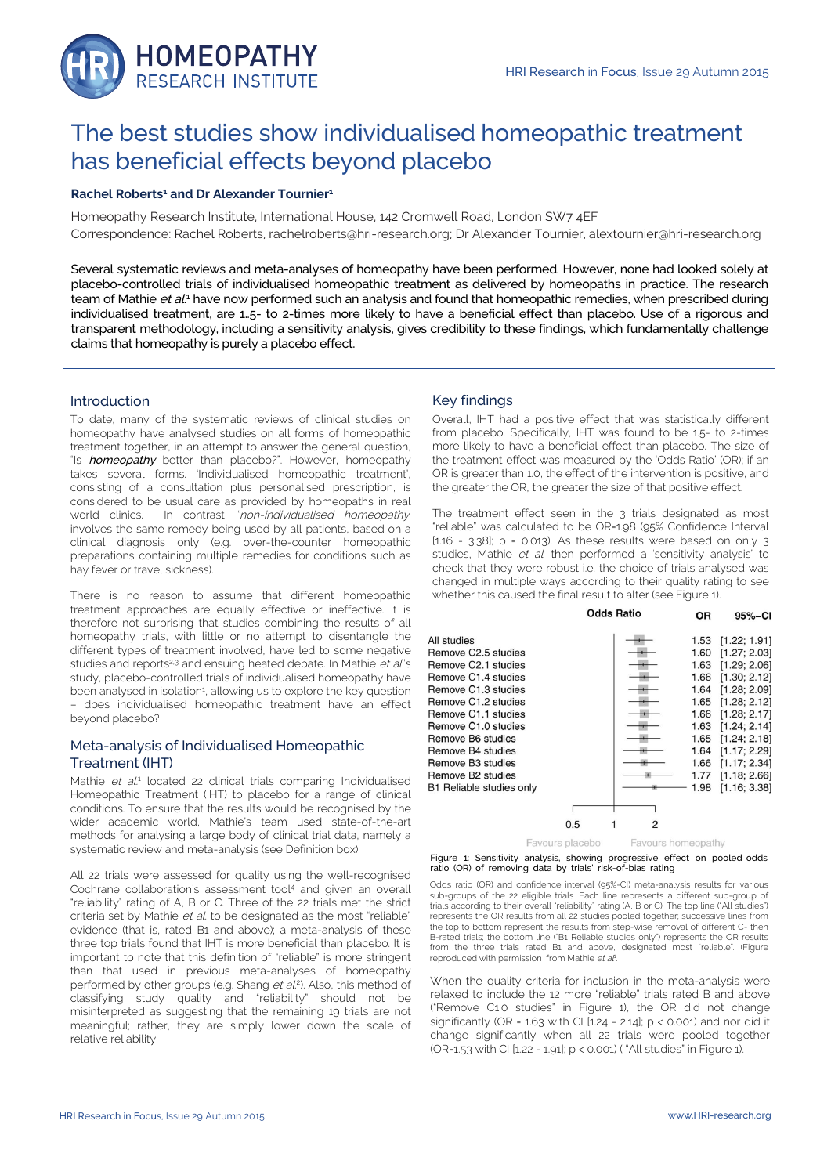

# The best studies show individualised homeopathic treatment has beneficial effects beyond placebo

## **Rachel Roberts<sup>1</sup> and Dr Alexander Tournier<sup>1</sup>**

Homeopathy Research Institute, International House, 142 Cromwell Road, London SW7 4EF Correspondence: Rachel Roberts, rachelroberts@hri-research.org; Dr Alexander Tournier, alextournier@hri-research.org

Several systematic reviews and meta-analyses of homeopathy have been performed. However, none had looked solely at placebo-controlled trials of individualised homeopathic treatment as delivered by homeopaths in practice. The research team of Mathie *et al.*1 have now performed such an analysis and found that homeopathic remedies, when prescribed during individualised treatment, are 1..5- to 2-times more likely to have a beneficial effect than placebo. Use of a rigorous and transparent methodology, including a sensitivity analysis, gives credibility to these findings, which fundamentally challenge claims that homeopathy is purely a placebo effect.

### Introduction

To date, many of the systematic reviews of clinical studies on homeopathy have analysed studies on all forms of homeopathic treatment together, in an attempt to answer the general question, "Is homeopathy better than placebo?". However, homeopathy takes several forms. 'Individualised homeopathic treatment', consisting of a consultation plus personalised prescription, is considered to be usual care as provided by homeopaths in real world clinics. In contrast, 'non-individualised homeopathy' involves the same remedy being used by all patients, based on a clinical diagnosis only (e.g. over-the-counter homeopathic preparations containing multiple remedies for conditions such as hay fever or travel sickness).

There is no reason to assume that different homeopathic treatment approaches are equally effective or ineffective. It is therefore not surprising that studies combining the results of all homeopathy trials, with little or no attempt to disentangle the different types of treatment involved, have led to some negative studies and reports<sup>2,3</sup> and ensuing heated debate. In Mathie et al's study, placebo-controlled trials of individualised homeopathy have been analysed in isolation<sup>1</sup>, allowing us to explore the key question – does individualised homeopathic treatment have an effect beyond placebo?

# Meta-analysis of Individualised Homeopathic Treatment (IHT)

Mathie et al.<sup>1</sup> located 22 clinical trials comparing Individualised Homeopathic Treatment (IHT) to placebo for a range of clinical conditions. To ensure that the results would be recognised by the wider academic world, Mathie's team used state-of-the-art methods for analysing a large body of clinical trial data, namely a systematic review and meta-analysis (see Definition box).

All 22 trials were assessed for quality using the well-recognised Cochrane collaboration's assessment tool<sup>4</sup> and given an overall "reliability" rating of A, B or C. Three of the 22 trials met the strict criteria set by Mathie et al. to be designated as the most "reliable" evidence (that is, rated B1 and above); a meta-analysis of these three top trials found that IHT is more beneficial than placebo. It is important to note that this definition of "reliable" is more stringent than that used in previous meta-analyses of homeopathy performed by other groups (e.g. Shang et al.<sup>2</sup>). Also, this method of classifying study quality and "reliability" should not be misinterpreted as suggesting that the remaining 19 trials are not meaningful; rather, they are simply lower down the scale of relative reliability.

## Key findings

Overall, IHT had a positive effect that was statistically different from placebo. Specifically, IHT was found to be 1.5- to 2-times more likely to have a beneficial effect than placebo. The size of the treatment effect was measured by the 'Odds Ratio' (OR); if an OR is greater than 1.0, the effect of the intervention is positive, and the greater the OR, the greater the size of that positive effect.

The treatment effect seen in the 3 trials designated as most "reliable" was calculated to be OR=1.98 (95% Confidence Interval [1.16 - 3.38]; p = 0.013). As these results were based on only 3 studies, Mathie et al. then performed a 'sensitivity analysis' to check that they were robust i.e. the choice of trials analysed was changed in multiple ways according to their quality rating to see whether this caused the final result to alter (see Figure 1).

|                                 |     | Odds Ratio | <b>OR</b> | 95%-CI       |
|---------------------------------|-----|------------|-----------|--------------|
| All studies                     |     |            | 1.53      | [1.22; 1.91] |
| Remove C2.5 studies             |     |            | 1.60      | [1.27; 2.03] |
| Remove C2.1 studies             |     |            | 1.63      | [1.29; 2.06] |
| Remove C1.4 studies             |     |            | 1.66      | [1.30; 2.12] |
| Remove C1.3 studies             |     |            | 1.64      | [1.28; 2.09] |
| Remove C1.2 studies             |     |            | 1.65      | [1.28; 2.12] |
| Remove C1.1 studies             |     |            | 1.66      | [1.28; 2.17] |
| Remove C1.0 studies             |     |            | 1.63      | [1.24; 2.14] |
| Remove B6 studies               |     |            | 1.65      | [1.24; 2.18] |
| Remove B4 studies               |     |            | 1.64      | [1.17; 2.29] |
| Remove B3 studies               |     |            | 1.66      | [1.17; 2.34] |
| Remove B <sub>2</sub> studies   |     |            | 1.77      | [1.18; 2.66] |
| <b>B1 Reliable studies only</b> |     |            | 1.98      | [1.16; 3.38] |
|                                 |     |            |           |              |
|                                 | 0.5 | 2          |           |              |
|                                 |     |            |           |              |

Favours placebo Favours homeopathy



Odds ratio (OR) and confidence interval (95%-CI) meta-analysis results for various sub-groups of the 22 eligible trials. Each line represents a different sub-group of trials according to their overall "reliability" rating (A, B or C). The top line ("All studies") represents the OR results from all 22 studies pooled together; successive lines from the top to bottom represent the results from step-wise removal of different C- then B-rated trials; the bottom line ("B1 Reliable studies only") represents the OR results from the three trials rated B1 and above, designated most "reliable". (Figure reproduced with permission from Mathie et al<sup>1</sup>.

When the quality criteria for inclusion in the meta-analysis were relaxed to include the 12 more "reliable" trials rated B and above ("Remove C1.0 studies" in Figure 1), the OR did not change significantly (OR =  $1.63$  with CI  $[1.24 - 2.14]$ ; p < 0.001) and nor did it change significantly when all 22 trials were pooled together (OR=1.53 with CI [1.22 - 1.91]; p < 0.001) ( "All studies" in Figure 1).